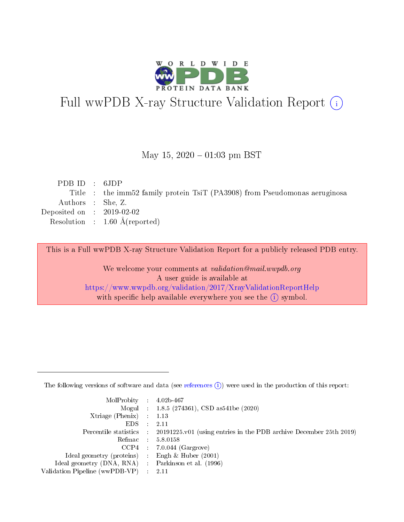

# Full wwPDB X-ray Structure Validation Report (i)

#### May 15,  $2020 - 01:03$  pm BST

| PDB ID : $6JDP$             |                                                                            |
|-----------------------------|----------------------------------------------------------------------------|
|                             | Title : the imm52 family protein TsiT (PA3908) from Pseudomonas aeruginosa |
| Authors : She, Z.           |                                                                            |
| Deposited on : $2019-02-02$ |                                                                            |
|                             | Resolution : $1.60 \text{ Å}$ (reported)                                   |
|                             |                                                                            |

This is a Full wwPDB X-ray Structure Validation Report for a publicly released PDB entry.

We welcome your comments at validation@mail.wwpdb.org A user guide is available at <https://www.wwpdb.org/validation/2017/XrayValidationReportHelp> with specific help available everywhere you see the  $(i)$  symbol.

The following versions of software and data (see [references](https://www.wwpdb.org/validation/2017/XrayValidationReportHelp#references)  $(1)$ ) were used in the production of this report:

| $MolProbability$ : 4.02b-467                       |               |                                                                                            |
|----------------------------------------------------|---------------|--------------------------------------------------------------------------------------------|
|                                                    |               | Mogul : $1.8.5$ (274361), CSD as 541be (2020)                                              |
| Xtriage (Phenix) $: 1.13$                          |               |                                                                                            |
| EDS.                                               | $\mathcal{L}$ | -2.11                                                                                      |
|                                                    |               | Percentile statistics : 20191225.v01 (using entries in the PDB archive December 25th 2019) |
|                                                    |               | Refmac : 5.8.0158                                                                          |
|                                                    |               | $CCP4$ 7.0.044 (Gargrove)                                                                  |
| Ideal geometry (proteins) : Engh $\&$ Huber (2001) |               |                                                                                            |
| Ideal geometry (DNA, RNA) Parkinson et al. (1996)  |               |                                                                                            |
| Validation Pipeline (wwPDB-VP) : 2.11              |               |                                                                                            |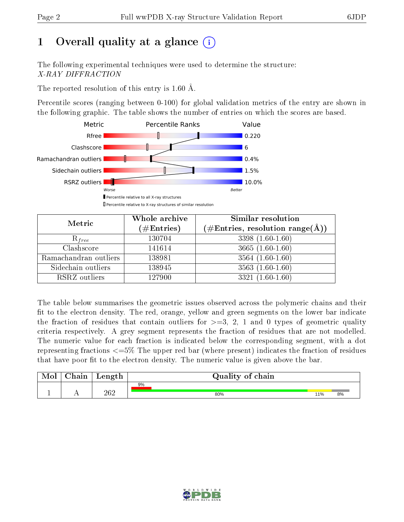# 1 [O](https://www.wwpdb.org/validation/2017/XrayValidationReportHelp#overall_quality)verall quality at a glance  $(i)$

The following experimental techniques were used to determine the structure: X-RAY DIFFRACTION

The reported resolution of this entry is 1.60 Å.

Percentile scores (ranging between 0-100) for global validation metrics of the entry are shown in the following graphic. The table shows the number of entries on which the scores are based.



| Metric                | Whole archive<br>$(\#\text{Entries})$ | Similar resolution<br>$(\#\text{Entries},\,\text{resolution}\,\,\text{range}(\textup{\AA}))$ |  |  |
|-----------------------|---------------------------------------|----------------------------------------------------------------------------------------------|--|--|
| $R_{free}$            | 130704                                | $3398(1.60-1.60)$                                                                            |  |  |
| Clashscore            | 141614                                | $3665(1.60-1.60)$                                                                            |  |  |
| Ramachandran outliers | 138981                                | $3564(1.60-1.60)$                                                                            |  |  |
| Sidechain outliers    | 138945                                | $3563(1.60-1.60)$                                                                            |  |  |
| RSRZ outliers         | 127900                                | $3321(1.60-1.60)$                                                                            |  |  |

The table below summarises the geometric issues observed across the polymeric chains and their fit to the electron density. The red, orange, yellow and green segments on the lower bar indicate the fraction of residues that contain outliers for  $>=$  3, 2, 1 and 0 types of geometric quality criteria respectively. A grey segment represents the fraction of residues that are not modelled. The numeric value for each fraction is indicated below the corresponding segment, with a dot representing fractions  $\epsilon=5\%$  The upper red bar (where present) indicates the fraction of residues that have poor fit to the electron density. The numeric value is given above the bar.

| Mol       | $\alpha$ hain | Length | Quality of chain |     |    |
|-----------|---------------|--------|------------------|-----|----|
|           |               |        | 9%               |     |    |
| <u>д.</u> | $\sim$ $\sim$ | 262    | 80%              | 11% | 8% |

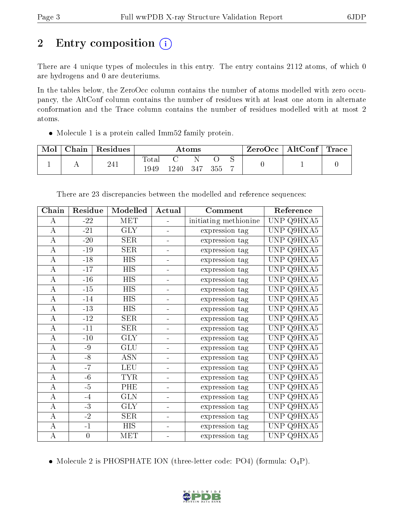# 2 Entry composition (i)

There are 4 unique types of molecules in this entry. The entry contains 2112 atoms, of which 0 are hydrogens and 0 are deuteriums.

In the tables below, the ZeroOcc column contains the number of atoms modelled with zero occupancy, the AltConf column contains the number of residues with at least one atom in alternate conformation and the Trace column contains the number of residues modelled with at most 2 atoms.

Molecule 1 is a protein called Imm52 family protein.

| ${\rm Chain}$ | $\,^{\shortmid}$ Residues | Atoms                |         |     |     | $\mid$ ZeroOcc $\mid$ AltConf $\mid$ Trace |  |  |
|---------------|---------------------------|----------------------|---------|-----|-----|--------------------------------------------|--|--|
|               | 241                       | <b>Total</b><br>1949 | ' 240 - | 347 | 355 |                                            |  |  |

| Chain            | Residue        | Modelled                  | Actual         | Comment               | Reference                         |
|------------------|----------------|---------------------------|----------------|-----------------------|-----------------------------------|
| Α                | $-22$          | <b>MET</b>                |                | initiating methionine | UNP Q9HXA5                        |
| $\bf{A}$         | $-21$          | GLY                       |                | expression tag        | UNP Q9HXA5                        |
| $\bf{A}$         | $-20$          | <b>SER</b>                | -              | expression tag        | $Q\overline{9HXA5}$<br><b>UNP</b> |
| $\boldsymbol{A}$ | $-19$          | <b>SER</b>                | ÷,             | expression tag        | UNP Q9HXA5                        |
| $\overline{A}$   | $-18$          | $\overline{HIS}$          | $\blacksquare$ | expression tag        | UNP Q9HXA5                        |
| $\boldsymbol{A}$ | $-17$          | <b>HIS</b>                | ÷,             | expression tag        | UNP Q9HXA5                        |
| $\boldsymbol{A}$ | $-16$          | <b>HIS</b>                |                | expression tag        | UNP Q9HXA5                        |
| $\boldsymbol{A}$ | $-15$          | <b>HIS</b>                | ÷,             | expression tag        | Q9HXA5<br><b>UNP</b>              |
| A                | $-14$          | <b>HIS</b>                |                | expression tag        | UNP Q9HXA5                        |
| A                | $-13$          | <b>HIS</b>                |                | expression tag        | $Q9H\overline{XA5}$<br>UNP        |
| $\bf{A}$         | $-12$          | <b>SER</b>                |                | expression tag        | UNP Q9HXA5                        |
| A                | $-11$          | <b>SER</b>                | $\blacksquare$ | expression tag        | UNP Q9 $\overline{HXA5}$          |
| $\overline{A}$   | $-10$          | <b>GLY</b>                | Ξ.             | expression tag        | UNP Q9HXA5                        |
| А                | $-9$           | GLU                       | ÷              | expression tag        | UNP Q9HXA5                        |
| $\boldsymbol{A}$ | $-8$           | $\overline{\mathrm{ASN}}$ |                | expression tag        | Q9HXA5<br>UNP                     |
| A                | $-7$           | <b>LEU</b>                |                | expression tag        | UNP Q9HXA5                        |
| $\bf{A}$         | $-6$           | <b>TYR</b>                | ÷,             | expression tag        | Q9HXA5<br><b>UNP</b>              |
| А                | $-5$           | PHE                       |                | expression tag        | UNP Q9HXA5                        |
| $\boldsymbol{A}$ | $-4$           | <b>GLN</b>                |                | expression tag        | UNP Q9HX $A5$                     |
| $\bf{A}$         | $-3$           | $\overline{\text{GLY}}$   | ÷,             | expression tag        | UNP Q9HXA5                        |
| $\bf{A}$         | $-2$           | <b>SER</b>                | -              | expression tag        | UNP Q9HXA5                        |
| $\overline{A}$   | $-1$           | <b>HIS</b>                | 4              | expression tag        | UNP<br>Q9HXA5                     |
| $\boldsymbol{A}$ | $\overline{0}$ | MET                       | ÷,             | expression tag        | UNP Q9HXA5                        |

There are 23 discrepancies between the modelled and reference sequences:

• Molecule 2 is PHOSPHATE ION (three-letter code: PO4) (formula:  $O_4P$ ).

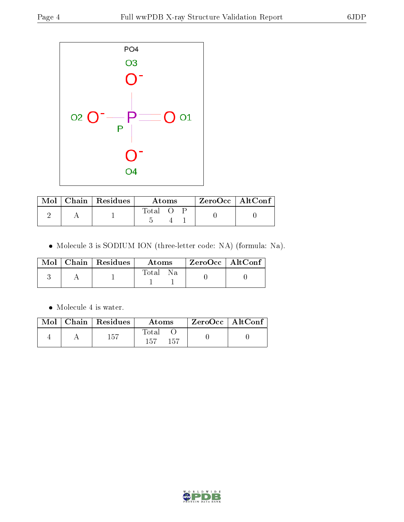

|  | $Mol$   Chain   Residues | Atoms       |  |  | $ZeroOcc$   AltConf |
|--|--------------------------|-------------|--|--|---------------------|
|  |                          | $\rm Total$ |  |  |                     |

Molecule 3 is SODIUM ION (three-letter code: NA) (formula: Na).

|  | Mol   Chain   Residues | Atoms        | $\pm$ ZeroOcc $\pm$ AltConf $\pm$ |  |
|--|------------------------|--------------|-----------------------------------|--|
|  |                        | Total<br>-Na |                                   |  |

• Molecule 4 is water.

| Mol | Chain   Residues | Atoms               | $\mid$ ZeroOcc $\mid$ AltConf |  |
|-----|------------------|---------------------|-------------------------------|--|
|     | 157              | Total<br>157<br>157 |                               |  |

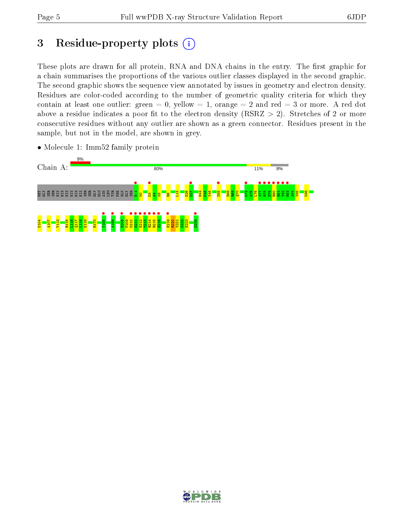# 3 Residue-property plots  $(i)$

These plots are drawn for all protein, RNA and DNA chains in the entry. The first graphic for a chain summarises the proportions of the various outlier classes displayed in the second graphic. The second graphic shows the sequence view annotated by issues in geometry and electron density. Residues are color-coded according to the number of geometric quality criteria for which they contain at least one outlier: green  $= 0$ , yellow  $= 1$ , orange  $= 2$  and red  $= 3$  or more. A red dot above a residue indicates a poor fit to the electron density (RSRZ  $> 2$ ). Stretches of 2 or more consecutive residues without any outlier are shown as a green connector. Residues present in the sample, but not in the model, are shown in grey.



• Molecule 1: Imm52 family protein

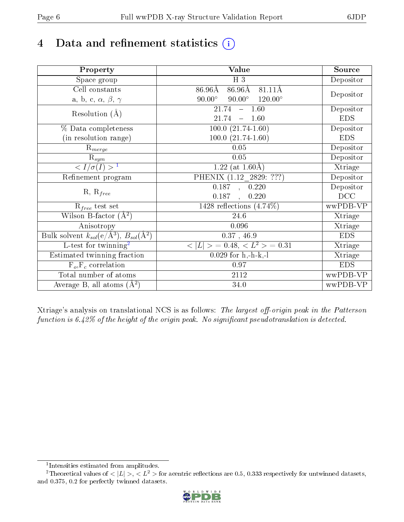# 4 Data and refinement statistics  $(i)$

| Property                                                             | Value                                                    | Source     |
|----------------------------------------------------------------------|----------------------------------------------------------|------------|
| Space group                                                          | $H_3$                                                    | Depositor  |
| Cell constants                                                       | $86.96\text{\AA}$<br>$86.96\text{\AA}$<br>81.11Å         |            |
| a, b, c, $\alpha$ , $\beta$ , $\gamma$                               | $90.00^\circ$<br>$90.00^\circ$<br>$120.00^\circ$         | Depositor  |
| Resolution $(A)$                                                     | $-1.60$<br>21.74                                         | Depositor  |
|                                                                      | 21.74<br>$-1.60$                                         | <b>EDS</b> |
| % Data completeness                                                  | $100.0 (21.74-1.60)$                                     | Depositor  |
| (in resolution range)                                                | $100.0 (21.74 - 1.60)$                                   | <b>EDS</b> |
| $R_{merge}$                                                          | 0.05                                                     | Depositor  |
| $\mathrm{R}_{sym}$                                                   | 0.05                                                     | Depositor  |
| $\langle I/\sigma(I) \rangle$ <sup>1</sup>                           | 1.22 (at $1.60\text{\AA}$ )                              | Xtriage    |
| Refinement program                                                   | PHENIX (1.12_2829: ???)                                  | Depositor  |
|                                                                      | 0.187, 0.220                                             | Depositor  |
| $R, R_{free}$                                                        | 0.220<br>0.187<br>$\ddot{\phantom{a}}$                   | DCC        |
| $R_{free}$ test set                                                  | 1428 reflections $(4.74\%)$                              | wwPDB-VP   |
| Wilson B-factor $(A^2)$                                              | 24.6                                                     | Xtriage    |
| Anisotropy                                                           | 0.096                                                    | Xtriage    |
| Bulk solvent $k_{sol}(e/\mathring{A}^3)$ , $B_{sol}(\mathring{A}^2)$ | $0.37$ , $46.9$                                          | <b>EDS</b> |
| L-test for twinning <sup>2</sup>                                     | $\langle  L  \rangle = 0.48, \langle L^2 \rangle = 0.31$ | Xtriage    |
| Estimated twinning fraction                                          | $0.029$ for h,-h-k,-l                                    | Xtriage    |
| $F_o, F_c$ correlation                                               | 0.97                                                     | <b>EDS</b> |
| Total number of atoms                                                | <b>2112</b>                                              | wwPDB-VP   |
| Average B, all atoms $(A^2)$                                         | 34.0                                                     | wwPDB-VP   |

Xtriage's analysis on translational NCS is as follows: The largest off-origin peak in the Patterson function is  $6.42\%$  of the height of the origin peak. No significant pseudotranslation is detected.

<sup>&</sup>lt;sup>2</sup>Theoretical values of  $\langle |L| \rangle$ ,  $\langle L^2 \rangle$  for acentric reflections are 0.5, 0.333 respectively for untwinned datasets, and 0.375, 0.2 for perfectly twinned datasets.



<span id="page-5-1"></span><span id="page-5-0"></span><sup>1</sup> Intensities estimated from amplitudes.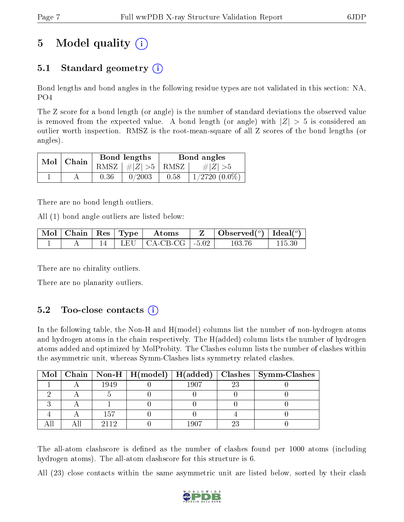# 5 Model quality  $(i)$

## 5.1 Standard geometry  $(i)$

Bond lengths and bond angles in the following residue types are not validated in this section: NA, PO4

The Z score for a bond length (or angle) is the number of standard deviations the observed value is removed from the expected value. A bond length (or angle) with  $|Z| > 5$  is considered an outlier worth inspection. RMSZ is the root-mean-square of all Z scores of the bond lengths (or angles).

| $Mol$   Chain |      | Bond lengths                | Bond angles |                 |  |
|---------------|------|-----------------------------|-------------|-----------------|--|
|               |      | $RMSZ \mid # Z  > 5$   RMSZ |             | $\# Z  > 5$     |  |
|               | 0.36 | 0/2003                      | 0.58        | $1/2720(0.0\%)$ |  |

There are no bond length outliers.

All (1) bond angle outliers are listed below:

|  | Mol   Chain   Res   Type  <br>$\rm~Atons$ |                                                    | Observed( $^{\circ}$ )   Ideal( $^{\circ}$ ) |  |
|--|-------------------------------------------|----------------------------------------------------|----------------------------------------------|--|
|  |                                           | $\perp$ LEU $\parallel$ CA-CB-CG $\parallel$ -5.02 | 103-76                                       |  |

There are no chirality outliers.

There are no planarity outliers.

### $5.2$  Too-close contacts  $(i)$

In the following table, the Non-H and H(model) columns list the number of non-hydrogen atoms and hydrogen atoms in the chain respectively. The H(added) column lists the number of hydrogen atoms added and optimized by MolProbity. The Clashes column lists the number of clashes within the asymmetric unit, whereas Symm-Clashes lists symmetry related clashes.

|  |      |      |    | Mol   Chain   Non-H   H(model)   H(added)   Clashes   Symm-Clashes |
|--|------|------|----|--------------------------------------------------------------------|
|  | 1949 | 1907 | 23 |                                                                    |
|  |      |      |    |                                                                    |
|  |      |      |    |                                                                    |
|  | 157  |      |    |                                                                    |
|  | 9119 | 1907 |    |                                                                    |

The all-atom clashscore is defined as the number of clashes found per 1000 atoms (including hydrogen atoms). The all-atom clashscore for this structure is 6.

All (23) close contacts within the same asymmetric unit are listed below, sorted by their clash

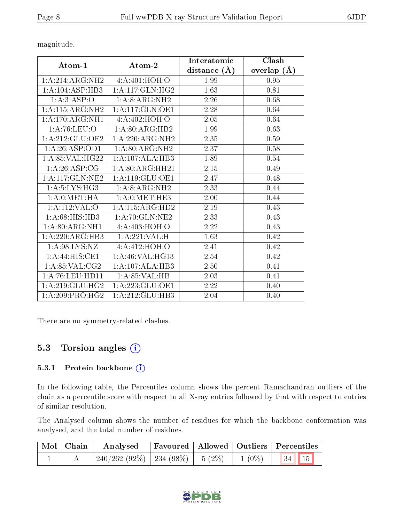|                                                  | Atom-2                             | Interatomic    | Clash         |  |
|--------------------------------------------------|------------------------------------|----------------|---------------|--|
| Atom-1                                           |                                    | distance $(A)$ | overlap $(A)$ |  |
| $1:A:214:A\mathrm{R}\mathrm{\overline{G}:\!NH2}$ | 4: A:401:HOH:O                     | 1.99           | 0.95          |  |
| 1: A: 104: ASP: HB3                              | 1: A:117: GLN: HG2                 | 1.63           | 0.81          |  |
| 1:A:3:ASP:O                                      | $1:A:8:ARG:\overline{\text{NH2}}$  | 2.26           | 0.68          |  |
| 1:A:115:ARG:NH2                                  | 1:A:117:GLN:OE1                    | 2.28           | 0.64          |  |
| 1:A:170:ARG:NH1                                  | 4:A:402:HOH:O                      | 2.05           | 0.64          |  |
| 1: A:76: LEU:O                                   | 1: A:80: ARG: HB2                  | 1.99           | 0.63          |  |
| 1:A:212:GLU:OE2                                  | $1:\overline{A}:220:ARG:NH2$       | 2.35           | 0.59          |  |
| 1:A:26:ASP:OD1                                   | $1:A:80:ARG:\overline{\text{NH2}}$ | 2.37           | 0.58          |  |
| 1:A:85:VAL:HG22                                  | 1:A:107:ALA:HB3                    | 1.89           | 0.54          |  |
| 1: A:26:ASP:CG                                   | 1:A:80:ARG:HH21                    | 2.15           | 0.49          |  |
| $1: A:117: GLN: \overline{NE2}$                  | 1: A:119: GLU:OE1                  | 2.47           | 0.48          |  |
| 1: A:5: LYS:HG3                                  | 1: A:8: ARG: NH2                   | 2.33           | 0.44          |  |
| 1: A: 0: MET: HA                                 | 1: A: 0: MET: HE3                  | 2.00           | 0.44          |  |
| 1: A: 112: VAL: O                                | 1:A:115:ARG:HD2                    | 2.19           | 0.43          |  |
| 1: A:68: HIS: HB3                                | 1:A:70:GLN:NE2                     | 2.33           | 0.43          |  |
| 1: A:80: ARG:NH1                                 | 4: A:403:HOH:O                     | 2.22           | 0.43          |  |
| 1: A:220: ARG:HB3                                | 1:A:221:VAL:H                      | 1.63           | 0.42          |  |
| 1: A:98: LYS: NZ                                 | 4: A: 412: HOH: O                  | 2.41           | 0.42          |  |
| 1:A:44:HIS:CE1                                   | 1:A:46:VAL:HG13                    | 2.54           | 0.42          |  |
| 1: A:85:VAL:CG2                                  | 1:A:107:ALA:HB3                    | 2.50           | 0.41          |  |
| 1: A:76: LEU: HD11                               | 1:A:85:VAL:HB                      | 2.03           | 0.41          |  |
| 1:A:219:GLU:HG2                                  | 1:A:223:GLU:OE1                    | 2.22           | 0.40          |  |
| 1:A:209:PRO:HG2                                  | 1:A:212:GLU:HB3                    | 2.04           | 0.40          |  |

There are no symmetry-related clashes.

### 5.3 Torsion angles (i)

#### 5.3.1 Protein backbone (i)

In the following table, the Percentiles column shows the percent Ramachandran outliers of the chain as a percentile score with respect to all X-ray entries followed by that with respect to entries of similar resolution.

The Analysed column shows the number of residues for which the backbone conformation was analysed, and the total number of residues.

| $\mid$ Mol $\mid$ Chain $\mid$ | <b>Analysed</b>                        |  | Favoured   Allowed   Outliers   Percentiles |  |
|--------------------------------|----------------------------------------|--|---------------------------------------------|--|
|                                | $240/262(92\%)$   234 (98\%)   5 (2\%) |  | $1(0\%)$ $34$ $15$                          |  |

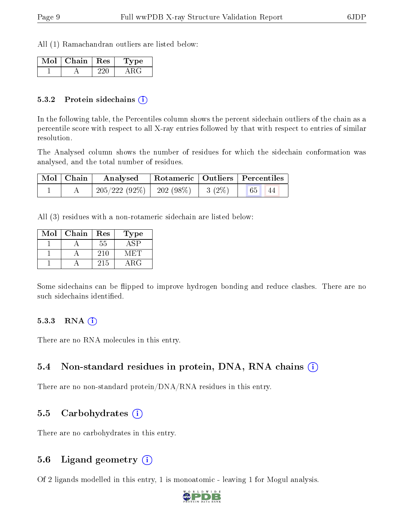All (1) Ramachandran outliers are listed below:

| Mol | Chain   Res | <b>Type</b> |
|-----|-------------|-------------|
|     |             |             |

#### 5.3.2 Protein sidechains (i)

In the following table, the Percentiles column shows the percent sidechain outliers of the chain as a percentile score with respect to all X-ray entries followed by that with respect to entries of similar resolution.

The Analysed column shows the number of residues for which the sidechain conformation was analysed, and the total number of residues.

| Mol   Chain | Analysed                                |  | Rotameric   Outliers   Percentiles |  |  |
|-------------|-----------------------------------------|--|------------------------------------|--|--|
|             | $205/222$ (92\%)   202 (98\%)   3 (2\%) |  | 65 <br>44                          |  |  |

All (3) residues with a non-rotameric sidechain are listed below:

| Mol | Chain | Res | Type |
|-----|-------|-----|------|
|     |       | 55  |      |
|     |       | 210 |      |
|     |       | 215 | ARG  |

Some sidechains can be flipped to improve hydrogen bonding and reduce clashes. There are no such sidechains identified.

#### $5.3.3$  RNA  $(i)$

There are no RNA molecules in this entry.

### 5.4 Non-standard residues in protein, DNA, RNA chains  $(i)$

There are no non-standard protein/DNA/RNA residues in this entry.

### 5.5 Carbohydrates  $(i)$

There are no carbohydrates in this entry.

### 5.6 Ligand geometry  $(i)$

Of 2 ligands modelled in this entry, 1 is monoatomic - leaving 1 for Mogul analysis.

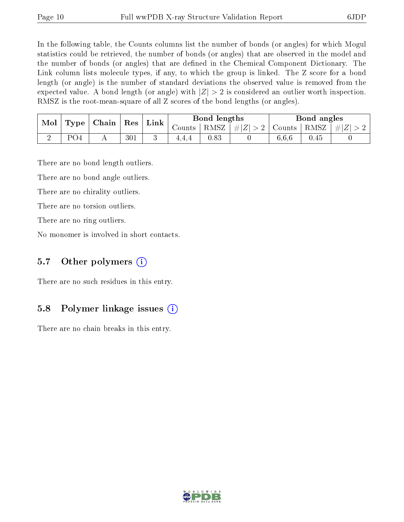In the following table, the Counts columns list the number of bonds (or angles) for which Mogul statistics could be retrieved, the number of bonds (or angles) that are observed in the model and the number of bonds (or angles) that are dened in the Chemical Component Dictionary. The Link column lists molecule types, if any, to which the group is linked. The Z score for a bond length (or angle) is the number of standard deviations the observed value is removed from the expected value. A bond length (or angle) with  $|Z| > 2$  is considered an outlier worth inspection. RMSZ is the root-mean-square of all Z scores of the bond lengths (or angles).

| Mol | Type | Chain | ${\mathop{\mathrm{Res}}\nolimits}$ | Link | Bond lengths |                   |             | Bond angles   |          |           |
|-----|------|-------|------------------------------------|------|--------------|-------------------|-------------|---------------|----------|-----------|
|     |      |       |                                    |      | $\sim$ ounts | RMSZ <sub>1</sub> | $\# Z  > 2$ | Counts   RMSZ |          | $\pm  Z $ |
|     | PO4  |       | 301                                |      | 4.4.4        | 0.83              |             | 6,6,6         | $0.45\,$ |           |

There are no bond length outliers.

There are no bond angle outliers.

There are no chirality outliers.

There are no torsion outliers.

There are no ring outliers.

No monomer is involved in short contacts.

### 5.7 [O](https://www.wwpdb.org/validation/2017/XrayValidationReportHelp#nonstandard_residues_and_ligands)ther polymers  $(i)$

There are no such residues in this entry.

### 5.8 Polymer linkage issues  $(i)$

There are no chain breaks in this entry.

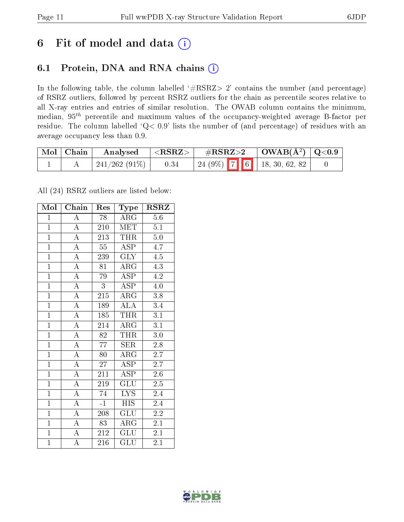## 6 Fit of model and data  $(i)$

## 6.1 Protein, DNA and RNA chains  $(i)$

In the following table, the column labelled  $#RSRZ> 2'$  contains the number (and percentage) of RSRZ outliers, followed by percent RSRZ outliers for the chain as percentile scores relative to all X-ray entries and entries of similar resolution. The OWAB column contains the minimum, median,  $95<sup>th</sup>$  percentile and maximum values of the occupancy-weighted average B-factor per residue. The column labelled ' $Q< 0.9$ ' lists the number of (and percentage) of residues with an average occupancy less than 0.9.

| Mol   Chain | Analysed            | $<$ RSRZ $>$ $ $ | $\rm \#RSRZ{>}2$ |  | $\vert$ OWAB( $A^2$ ) $\vert$ Q<0.9      |  |
|-------------|---------------------|------------------|------------------|--|------------------------------------------|--|
|             | $\pm 241/262(91\%)$ | 0.34             |                  |  | $\mid$ 24 (9%) $\mid$ 7 6 18, 30, 62, 82 |  |

All (24) RSRZ outliers are listed below:

| Mol            | Chain              | Res             | Type                    | <b>RSRZ</b>      |
|----------------|--------------------|-----------------|-------------------------|------------------|
| $\mathbf{1}$   | $\boldsymbol{A}$   | 78              | $\rm{ARG}$              | 5.6              |
| $\mathbf{1}$   | $\overline{A}$     | 210             | <b>MET</b>              | 5.1              |
| $\mathbf{1}$   | $\overline{A}$     | 213             | <b>THR</b>              | 5.0              |
| $\overline{1}$ | $\overline{A}$     | 55              | ASP                     | 4.7              |
| $\overline{1}$ | $\overline{A}$     | 239             | $\overline{\text{GLY}}$ | $\overline{4.5}$ |
| $\overline{1}$ | $\overline{A}$     | 81              | ARG                     | 4.3              |
| $\overline{1}$ | $\overline{A}$     | 79              | ASP                     | 4.2              |
| $\overline{1}$ | $\overline{A}$     | 3               | <b>ASP</b>              | 4.0              |
| $\overline{1}$ | $\overline{\rm A}$ | 215             | $\rm{ARG}$              | 3.8              |
| $\overline{1}$ | $\overline{A}$     | 189             | $\overline{\rm ALA}$    | 3.4              |
| $\mathbf{1}$   | $\overline{\rm A}$ | 185             | <b>THR</b>              | 3.1              |
| $\overline{1}$ | $\overline{\rm A}$ | 214             | ARG                     | $\overline{3.1}$ |
| $\overline{1}$ | $\overline{\rm A}$ | 82              | <b>THR</b>              | 3.0              |
| $\overline{1}$ | $\overline{A}$     | 77              | <b>SER</b>              | 2.8              |
| $\overline{1}$ | $\overline{\rm A}$ | 80              | $\rm{ARG}$              | 2.7              |
| $\overline{1}$ | $\overline{A}$     | 27              | <b>ASP</b>              | $2.\overline{7}$ |
| $\overline{1}$ | $\overline{\rm A}$ | 211             | $\overline{\rm ASP}$    | 2.6              |
| $\overline{1}$ | $\overline{A}$     | 219             | GLU                     | 2.5              |
| $\overline{1}$ | $\overline{\rm A}$ | $\overline{74}$ | <b>LYS</b>              | 2.4              |
| $\overline{1}$ | $\overline{A}$     | $-1$            | <b>HIS</b>              | 2.4              |
| $\overline{1}$ | $\overline{\rm A}$ | 208             | GLU                     | $2.2\,$          |
| $\overline{1}$ | $\overline{A}$     | 83              | $\widehat{\rm{ARG}}$    | 2.1              |
| $\overline{1}$ | $\overline{\rm A}$ | 212             | GLU                     | 2.1              |
| $\overline{1}$ | $\overline{\rm A}$ | 216             | $\widetilde{{\rm GLU}}$ | 2.1              |